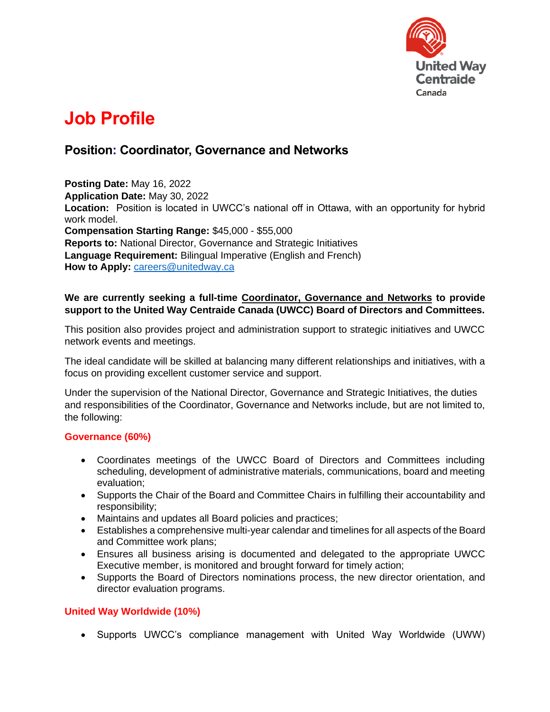

# **Job Profile**

# **Position: Coordinator, Governance and Networks**

**Posting Date:** May 16, 2022 **Application Date:** May 30, 2022 **Location:** Position is located in UWCC's national off in Ottawa, with an opportunity for hybrid work model.

**Compensation Starting Range:** \$45,000 - \$55,000

**Reports to:** National Director, Governance and Strategic Initiatives **Language Requirement:** Bilingual Imperative (English and French)

How to Apply: **[careers@unitedway.ca](mailto:careers@unitedway.ca)** 

## **We are currently seeking a full-time Coordinator, Governance and Networks to provide support to the United Way Centraide Canada (UWCC) Board of Directors and Committees.**

This position also provides project and administration support to strategic initiatives and UWCC network events and meetings.

The ideal candidate will be skilled at balancing many different relationships and initiatives, with a focus on providing excellent customer service and support.

Under the supervision of the National Director, Governance and Strategic Initiatives, the duties and responsibilities of the Coordinator, Governance and Networks include, but are not limited to, the following:

#### **Governance (60%)**

- Coordinates meetings of the UWCC Board of Directors and Committees including scheduling, development of administrative materials, communications, board and meeting evaluation;
- Supports the Chair of the Board and Committee Chairs in fulfilling their accountability and responsibility;
- Maintains and updates all Board policies and practices;
- Establishes a comprehensive multi-year calendar and timelines for all aspects of the Board and Committee work plans;
- Ensures all business arising is documented and delegated to the appropriate UWCC Executive member, is monitored and brought forward for timely action;
- Supports the Board of Directors nominations process, the new director orientation, and director evaluation programs.

# **United Way Worldwide (10%)**

• Supports UWCC's compliance management with United Way Worldwide (UWW)